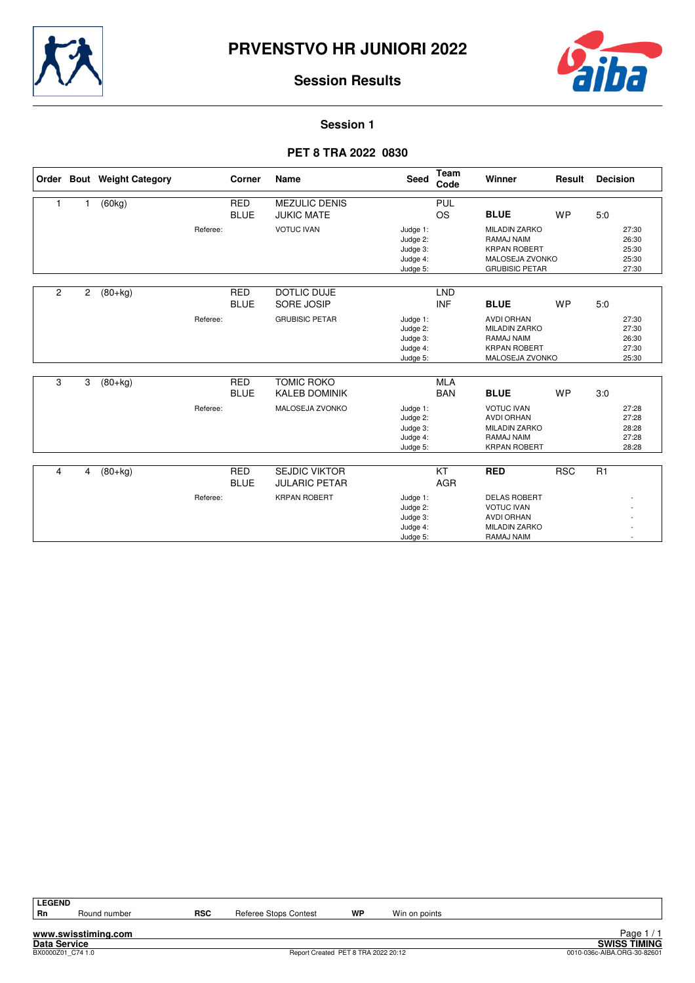



**Session 1**

## **PET 8 TRA 2022 0830**

|   |                | Order Bout Weight Category |          | Corner                    | Name                                        | <b>Seed</b>                                              | Team<br>Code             | Winner                                                                                                | Result     | <b>Decision</b>                           |
|---|----------------|----------------------------|----------|---------------------------|---------------------------------------------|----------------------------------------------------------|--------------------------|-------------------------------------------------------------------------------------------------------|------------|-------------------------------------------|
|   | 1              | (60kg)                     |          | <b>RED</b><br><b>BLUE</b> | <b>MEZULIC DENIS</b><br><b>JUKIC MATE</b>   |                                                          | PUL<br><b>OS</b>         | <b>BLUE</b>                                                                                           | <b>WP</b>  | 5:0                                       |
|   |                |                            | Referee: |                           | <b>VOTUC IVAN</b>                           | Judge 1:<br>Judge 2:<br>Judge 3:<br>Judge 4:<br>Judge 5: |                          | <b>MILADIN ZARKO</b><br>RAMAJ NAIM<br><b>KRPAN ROBERT</b><br>MALOSEJA ZVONKO<br><b>GRUBISIC PETAR</b> |            | 27:30<br>26:30<br>25:30<br>25:30<br>27:30 |
| 2 | $\overline{2}$ | $(80+kg)$                  |          | <b>RED</b><br><b>BLUE</b> | <b>DOTLIC DUJE</b><br>SORE JOSIP            |                                                          | <b>LND</b><br><b>INF</b> | <b>BLUE</b>                                                                                           | <b>WP</b>  | 5:0                                       |
|   |                |                            | Referee: |                           | <b>GRUBISIC PETAR</b>                       | Judge 1:<br>Judge 2:<br>Judge 3:<br>Judge 4:<br>Judge 5: |                          | <b>AVDI ORHAN</b><br><b>MILADIN ZARKO</b><br>RAMAJ NAIM<br><b>KRPAN ROBERT</b><br>MALOSEJA ZVONKO     |            | 27:30<br>27:30<br>26:30<br>27:30<br>25:30 |
| 3 | 3              | $(80+kg)$                  |          | <b>RED</b><br><b>BLUE</b> | <b>TOMIC ROKO</b><br><b>KALEB DOMINIK</b>   |                                                          | <b>MLA</b><br><b>BAN</b> | <b>BLUE</b>                                                                                           | <b>WP</b>  | 3:0                                       |
|   |                |                            | Referee: |                           | MALOSEJA ZVONKO                             | Judge 1:<br>Judge 2:<br>Judge 3:<br>Judge 4:<br>Judge 5: |                          | <b>VOTUC IVAN</b><br><b>AVDI ORHAN</b><br><b>MILADIN ZARKO</b><br>RAMAJ NAIM<br><b>KRPAN ROBERT</b>   |            | 27:28<br>27:28<br>28:28<br>27:28<br>28:28 |
| 4 | 4              | $(80+kg)$                  |          | <b>RED</b>                | <b>SEJDIC VIKTOR</b>                        |                                                          | $\overline{KT}$          | <b>RED</b>                                                                                            | <b>RSC</b> | $\overline{R1}$                           |
|   |                |                            | Referee: | <b>BLUE</b>               | <b>JULARIC PETAR</b><br><b>KRPAN ROBERT</b> | Judge 1:<br>Judge 2:<br>Judge 3:<br>Judge 4:<br>Judge 5: | <b>AGR</b>               | <b>DELAS ROBERT</b><br><b>VOTUC IVAN</b><br><b>AVDI ORHAN</b><br><b>MILADIN ZARKO</b><br>RAMAJ NAIM   |            |                                           |

**LEGEND**

Round number **RSC** Referee Stops Contest **WP** Win on points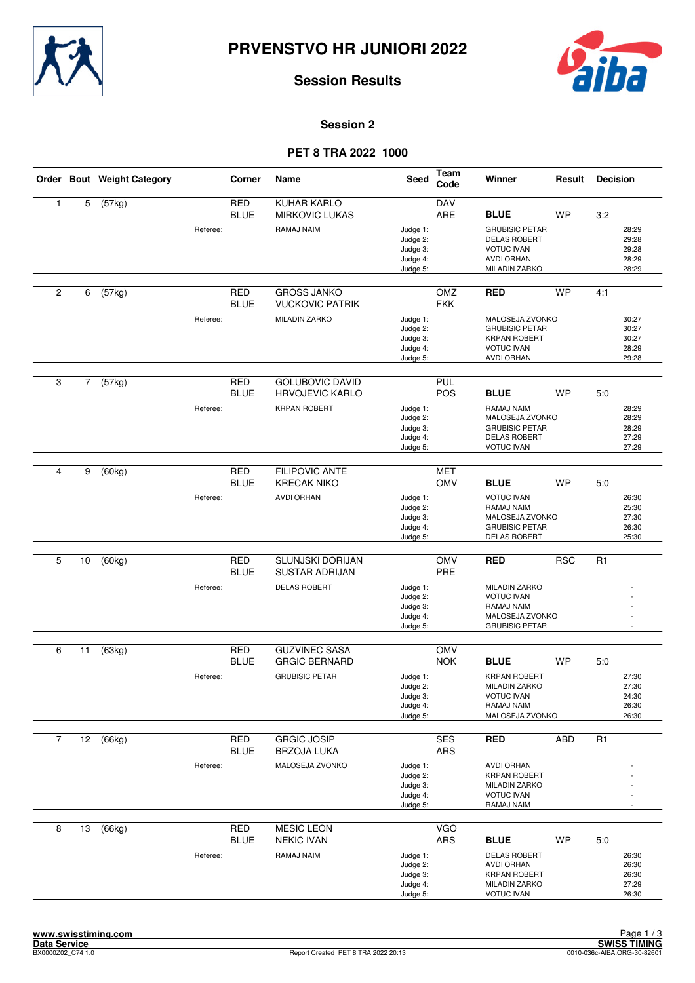



**Session 2**

## **PET 8 TRA 2022 1000**

|                |                | Order Bout Weight Category |          | Corner                    | <b>Name</b>                                      | <b>Seed</b>                                              | <b>Team</b><br>Code | Winner                                                                                                                      | Result     | <b>Decision</b>                                  |
|----------------|----------------|----------------------------|----------|---------------------------|--------------------------------------------------|----------------------------------------------------------|---------------------|-----------------------------------------------------------------------------------------------------------------------------|------------|--------------------------------------------------|
| $\mathbf{1}$   | 5              | (57kg)                     |          | <b>RED</b><br><b>BLUE</b> | KUHAR KARLO<br><b>MIRKOVIC LUKAS</b>             |                                                          | <b>DAV</b><br>ARE   | <b>BLUE</b>                                                                                                                 | <b>WP</b>  | 3:2                                              |
|                |                |                            | Referee: |                           | RAMAJ NAIM                                       | Judge 1:<br>Judge 2:<br>Judge 3:<br>Judge 4:<br>Judge 5: |                     | <b>GRUBISIC PETAR</b><br><b>DELAS ROBERT</b><br><b>VOTUC IVAN</b><br><b>AVDI ORHAN</b><br>MILADIN ZARKO                     |            | 28:29<br>29:28<br>29:28<br>28:29<br>28:29        |
| $\overline{c}$ | 6              | (57kg)                     |          | <b>RED</b><br><b>BLUE</b> | <b>GROSS JANKO</b><br><b>VUCKOVIC PATRIK</b>     |                                                          | OMZ<br><b>FKK</b>   | <b>RED</b>                                                                                                                  | <b>WP</b>  | 4:1                                              |
|                |                |                            | Referee: |                           | <b>MILADIN ZARKO</b>                             | Judge 1:<br>Judge 2:<br>Judge 3:<br>Judge 4:<br>Judge 5: |                     | MALOSEJA ZVONKO<br><b>GRUBISIC PETAR</b><br><b>KRPAN ROBERT</b><br><b>VOTUC IVAN</b><br><b>AVDI ORHAN</b>                   |            | 30:27<br>30:27<br>30:27<br>28:29<br>29:28        |
| 3              | $\overline{7}$ | (57kg)                     |          | <b>RED</b><br><b>BLUE</b> | <b>GOLUBOVIC DAVID</b><br><b>HRVOJEVIC KARLO</b> |                                                          | PUL<br><b>POS</b>   | <b>BLUE</b>                                                                                                                 | <b>WP</b>  | 5.0                                              |
|                |                |                            | Referee: |                           | <b>KRPAN ROBERT</b>                              | Judge 1:<br>Judge 2:<br>Judge 3:<br>Judge 4:<br>Judge 5: |                     | RAMAJ NAIM<br>MALOSEJA ZVONKO<br><b>GRUBISIC PETAR</b><br><b>DELAS ROBERT</b><br><b>VOTUC IVAN</b>                          |            | 28:29<br>28:29<br>28:29<br>27:29<br>27:29        |
|                |                |                            |          |                           |                                                  |                                                          |                     |                                                                                                                             |            |                                                  |
| $\overline{4}$ | 9              | (60kg)                     |          | <b>RED</b><br><b>BLUE</b> | <b>FILIPOVIC ANTE</b><br><b>KRECAK NIKO</b>      |                                                          | <b>MET</b><br>OMV   | <b>BLUE</b>                                                                                                                 | <b>WP</b>  | 5:0                                              |
|                |                |                            | Referee: |                           | <b>AVDI ORHAN</b>                                | Judge 1:<br>Judge 2:<br>Judge 3:<br>Judge 4:<br>Judge 5: |                     | <b>VOTUC IVAN</b><br>RAMAJ NAIM<br>MALOSEJA ZVONKO<br><b>GRUBISIC PETAR</b><br><b>DELAS ROBERT</b>                          |            | 26:30<br>25:30<br>27:30<br>26:30<br>25:30        |
|                |                |                            |          |                           |                                                  |                                                          |                     |                                                                                                                             |            |                                                  |
| 5              | 10             | (60kg)                     |          | <b>RED</b><br><b>BLUE</b> | SLUNJSKI DORIJAN<br><b>SUSTAR ADRIJAN</b>        |                                                          | OMV<br>PRE          | <b>RED</b>                                                                                                                  | <b>RSC</b> | R1                                               |
|                |                |                            | Referee: |                           | <b>DELAS ROBERT</b>                              | Judge 1:<br>Judge 2:<br>Judge 3:<br>Judge 4:<br>Judge 5: |                     | <b>MILADIN ZARKO</b><br><b>VOTUC IVAN</b><br>RAMAJ NAIM<br>MALOSEJA ZVONKO<br><b>GRUBISIC PETAR</b>                         |            |                                                  |
|                |                |                            |          |                           | <b>GUZVINEC SASA</b>                             |                                                          |                     |                                                                                                                             |            |                                                  |
| 6              | 11             | (63kg)                     |          | <b>RED</b><br><b>BLUE</b> | <b>GRGIC BERNARD</b>                             |                                                          | OMV<br><b>NOK</b>   | <b>BLUE</b>                                                                                                                 | <b>WP</b>  | 5:0                                              |
|                |                |                            | Referee: |                           | <b>GRUBISIC PETAR</b>                            | Judge 1:<br>Judge 2:<br>Judge 3:<br>Judge 4:<br>Judge 5: |                     | <b>KRPAN ROBERT</b><br><b>MILADIN ZARKO</b><br><b>VOTUC IVAN</b><br>RAMAJ NAIM<br>MALOSEJA ZVONKO                           |            | 27:30<br>27:30<br>24:30<br>26:30<br>26:30        |
| $\overline{7}$ | 12             | (66kg)                     |          | <b>RED</b>                | <b>GRGIC JOSIP</b>                               |                                                          | <b>SES</b>          | <b>RED</b>                                                                                                                  | <b>ABD</b> | R1                                               |
|                |                |                            |          | <b>BLUE</b>               | <b>BRZOJA LUKA</b>                               |                                                          | ARS                 |                                                                                                                             |            |                                                  |
|                |                |                            | Referee: |                           | MALOSEJA ZVONKO                                  | Judge 1:<br>Judge 2:<br>Judge 3:<br>Judge 4:<br>Judge 5: |                     | <b>AVDI ORHAN</b><br><b>KRPAN ROBERT</b><br><b>MILADIN ZARKO</b><br><b>VOTUC IVAN</b><br>RAMAJ NAIM                         |            |                                                  |
| 8              | 13             | (66kg)                     |          | <b>RED</b>                | <b>MESIC LEON</b>                                |                                                          | <b>VGO</b>          |                                                                                                                             |            |                                                  |
|                |                |                            | Referee: | <b>BLUE</b>               | <b>NEKIC IVAN</b><br>RAMAJ NAIM                  | Judge 1:<br>Judge 2:<br>Judge 3:<br>Judge 4:<br>Judge 5: | <b>ARS</b>          | <b>BLUE</b><br><b>DELAS ROBERT</b><br><b>AVDI ORHAN</b><br><b>KRPAN ROBERT</b><br><b>MILADIN ZARKO</b><br><b>VOTUC IVAN</b> | <b>WP</b>  | 5:0<br>26:30<br>26:30<br>26:30<br>27:29<br>26:30 |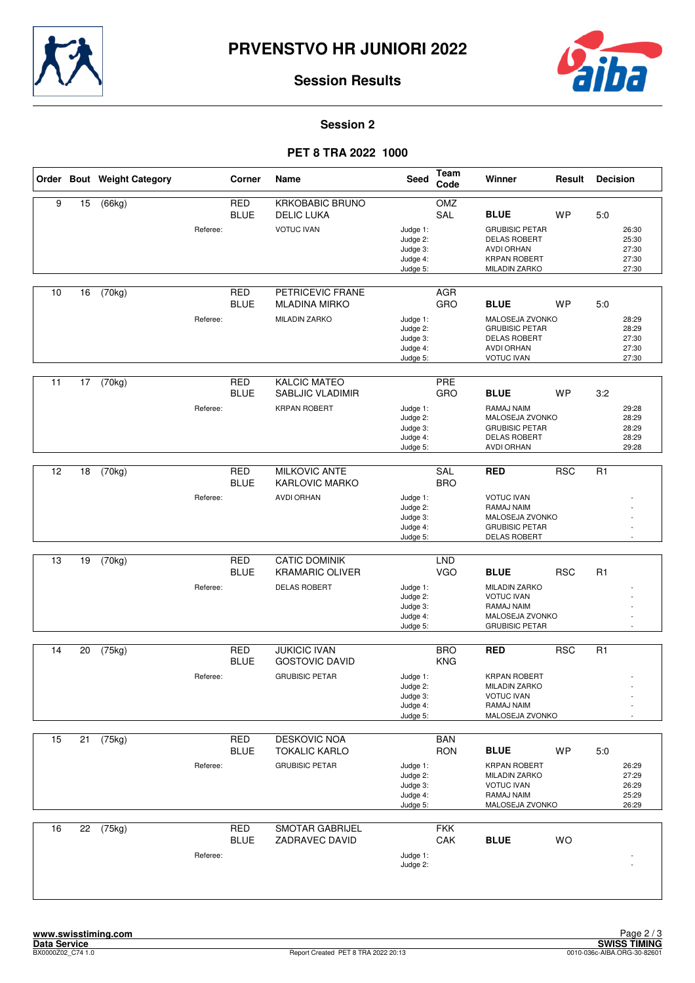



#### **Session 2**

## **PET 8 TRA 2022 1000**

|    |    | Order Bout Weight Category |          | Corner                    | Name                                           | Seed                                                     | <b>Team</b><br>Code      | Winner                                                                                                           | Result     | <b>Decision</b>                           |  |
|----|----|----------------------------|----------|---------------------------|------------------------------------------------|----------------------------------------------------------|--------------------------|------------------------------------------------------------------------------------------------------------------|------------|-------------------------------------------|--|
| 9  | 15 | (66kg)                     |          | <b>RED</b><br><b>BLUE</b> | <b>KRKOBABIC BRUNO</b><br><b>DELIC LUKA</b>    |                                                          | OMZ<br>SAL               | <b>BLUE</b>                                                                                                      | <b>WP</b>  | 5.0                                       |  |
|    |    |                            | Referee: |                           | <b>VOTUC IVAN</b>                              | Judge 1:<br>Judge 2:<br>Judge 3:<br>Judge 4:<br>Judge 5: |                          | <b>GRUBISIC PETAR</b><br><b>DELAS ROBERT</b><br><b>AVDI ORHAN</b><br><b>KRPAN ROBERT</b><br><b>MILADIN ZARKO</b> |            | 26:30<br>25:30<br>27:30<br>27:30<br>27:30 |  |
| 10 | 16 | (70kg)                     |          | <b>RED</b><br><b>BLUE</b> | PETRICEVIC FRANE<br><b>MLADINA MIRKO</b>       |                                                          | AGR<br>GRO               | <b>BLUE</b>                                                                                                      | <b>WP</b>  | 5.0                                       |  |
|    |    |                            | Referee: |                           | <b>MILADIN ZARKO</b>                           | Judge 1:<br>Judge 2:<br>Judge 3:<br>Judge 4:<br>Judge 5: |                          | MALOSEJA ZVONKO<br><b>GRUBISIC PETAR</b><br><b>DELAS ROBERT</b><br><b>AVDI ORHAN</b><br><b>VOTUC IVAN</b>        |            | 28:29<br>28:29<br>27:30<br>27:30<br>27:30 |  |
| 11 | 17 | (70kg)                     |          | <b>RED</b><br><b>BLUE</b> | <b>KALCIC MATEO</b><br>SABLJIC VLADIMIR        |                                                          | PRE<br>GRO               | <b>BLUE</b>                                                                                                      | <b>WP</b>  | 3:2                                       |  |
|    |    |                            | Referee: |                           | <b>KRPAN ROBERT</b>                            | Judge 1:<br>Judge 2:<br>Judge 3:<br>Judge 4:<br>Judge 5: |                          | RAMAJ NAIM<br>MALOSEJA ZVONKO<br><b>GRUBISIC PETAR</b><br><b>DELAS ROBERT</b><br><b>AVDI ORHAN</b>               |            | 29:28<br>28:29<br>28:29<br>28:29<br>29:28 |  |
|    |    |                            |          |                           |                                                |                                                          |                          |                                                                                                                  |            |                                           |  |
| 12 | 18 | (70kg)                     |          | <b>RED</b><br><b>BLUE</b> | <b>MILKOVIC ANTE</b><br><b>KARLOVIC MARKO</b>  |                                                          | SAL<br><b>BRO</b>        | <b>RED</b>                                                                                                       | <b>RSC</b> | R <sub>1</sub>                            |  |
|    |    |                            | Referee: |                           | <b>AVDI ORHAN</b>                              | Judge 1:<br>Judge 2:<br>Judge 3:<br>Judge 4:<br>Judge 5: |                          | <b>VOTUC IVAN</b><br>RAMAJ NAIM<br>MALOSEJA ZVONKO<br><b>GRUBISIC PETAR</b><br><b>DELAS ROBERT</b>               |            |                                           |  |
|    |    |                            |          |                           |                                                |                                                          |                          |                                                                                                                  |            |                                           |  |
| 13 | 19 | (70kg)                     |          | <b>RED</b><br><b>BLUE</b> | <b>CATIC DOMINIK</b><br><b>KRAMARIC OLIVER</b> |                                                          | <b>LND</b><br><b>VGO</b> | <b>BLUE</b>                                                                                                      | <b>RSC</b> | R <sub>1</sub>                            |  |
|    |    |                            | Referee: |                           | <b>DELAS ROBERT</b>                            | Judge 1:<br>Judge 2:<br>Judge 3:<br>Judge 4:<br>Judge 5: |                          | <b>MILADIN ZARKO</b><br><b>VOTUC IVAN</b><br>RAMAJ NAIM<br>MALOSEJA ZVONKO<br><b>GRUBISIC PETAR</b>              |            |                                           |  |
| 14 | 20 | (75kg)                     |          | <b>RED</b>                | <b>JUKICIC IVAN</b>                            |                                                          | <b>BRO</b>               | <b>RED</b>                                                                                                       | <b>RSC</b> | R <sub>1</sub>                            |  |
|    |    |                            | Referee: | <b>BLUE</b>               | <b>GOSTOVIC DAVID</b><br><b>GRUBISIC PETAR</b> | Judge 1:<br>Judge 2:                                     | <b>KNG</b>               | <b>KRPAN ROBERT</b><br><b>MILADIN ZARKO</b>                                                                      |            | $\overline{a}$                            |  |
|    |    |                            |          |                           |                                                | Judge 3:<br>Judge 4:<br>Judge 5:                         |                          | <b>VOTUC IVAN</b><br>RAMAJ NAIM<br>MALOSEJA ZVONKO                                                               |            |                                           |  |
|    |    |                            |          |                           |                                                |                                                          |                          |                                                                                                                  |            |                                           |  |
| 15 | 21 | (75kg)                     |          | <b>RED</b><br><b>BLUE</b> | DESKOVIC NOA<br><b>TOKALIC KARLO</b>           |                                                          | <b>BAN</b><br><b>RON</b> | <b>BLUE</b>                                                                                                      | WP         | 5:0                                       |  |
|    |    |                            | Referee: |                           | <b>GRUBISIC PETAR</b>                          | Judge 1:<br>Judge 2:<br>Judge 3:<br>Judge 4:<br>Judge 5: |                          | <b>KRPAN ROBERT</b><br><b>MILADIN ZARKO</b><br><b>VOTUC IVAN</b><br>RAMAJ NAIM<br>MALOSEJA ZVONKO                |            | 26:29<br>27:29<br>26:29<br>25:29<br>26:29 |  |
| 16 | 22 | (75kg)                     |          | RED                       | <b>SMOTAR GABRIJEL</b>                         |                                                          | <b>FKK</b>               |                                                                                                                  |            |                                           |  |
|    |    |                            | Referee: | <b>BLUE</b>               | ZADRAVEC DAVID                                 | Judge 1:<br>Judge 2:                                     | CAK                      | <b>BLUE</b>                                                                                                      | <b>WO</b>  |                                           |  |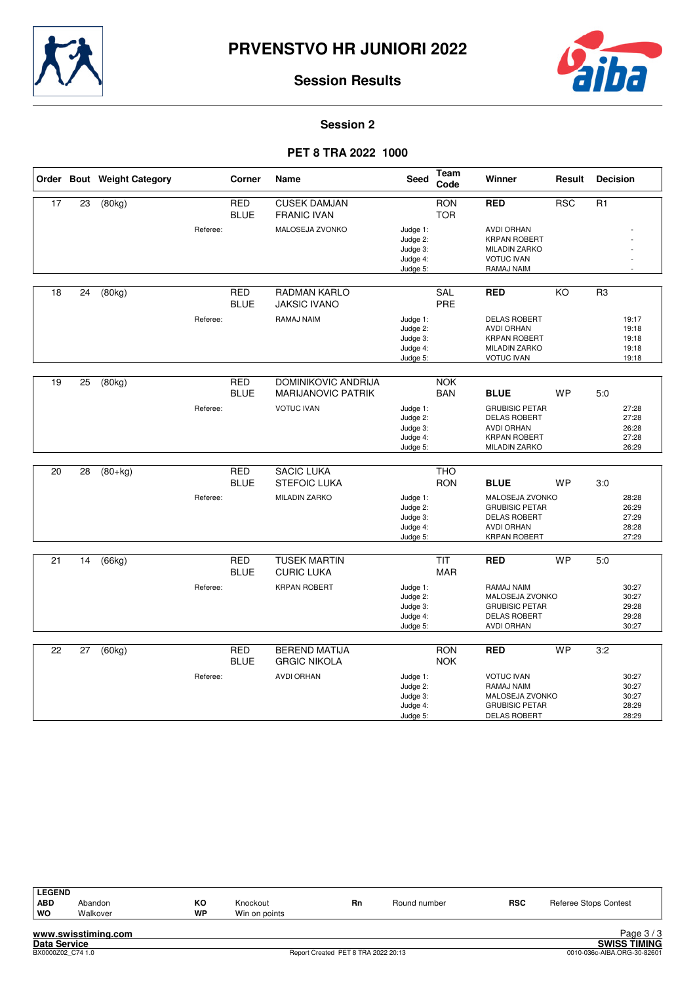



#### **Session 2**

## **PET 8 TRA 2022 1000**

|    |    | Order Bout Weight Category |          | Corner                    | Name                                                    | <b>Seed</b>                                              | Team<br>Code             | Winner                                                                                                           | Result    | <b>Decision</b> |                                           |
|----|----|----------------------------|----------|---------------------------|---------------------------------------------------------|----------------------------------------------------------|--------------------------|------------------------------------------------------------------------------------------------------------------|-----------|-----------------|-------------------------------------------|
| 17 | 23 | (80kg)                     |          | <b>RED</b><br><b>BLUE</b> | <b>CUSEK DAMJAN</b><br><b>FRANIC IVAN</b>               |                                                          | <b>RON</b><br><b>TOR</b> | <b>RED</b>                                                                                                       | RSC       | $\overline{R1}$ |                                           |
|    |    |                            | Referee: |                           | MALOSEJA ZVONKO                                         | Judge 1:<br>Judge 2:<br>Judge 3:<br>Judge 4:<br>Judge 5: |                          | <b>AVDI ORHAN</b><br><b>KRPAN ROBERT</b><br><b>MILADIN ZARKO</b><br><b>VOTUC IVAN</b><br>RAMAJ NAIM              |           |                 |                                           |
| 18 | 24 | (80kg)                     |          | RED<br><b>BLUE</b>        | RADMAN KARLO<br><b>JAKSIC IVANO</b>                     |                                                          | <b>SAL</b><br>PRE        | <b>RED</b>                                                                                                       | KO        | R <sub>3</sub>  |                                           |
|    |    |                            | Referee: |                           | RAMAJ NAIM                                              | Judge 1:<br>Judge 2:<br>Judge 3:<br>Judge 4:<br>Judge 5: |                          | <b>DELAS ROBERT</b><br><b>AVDI ORHAN</b><br><b>KRPAN ROBERT</b><br><b>MILADIN ZARKO</b><br><b>VOTUC IVAN</b>     |           |                 | 19:17<br>19:18<br>19:18<br>19:18<br>19:18 |
| 19 | 25 | (80kg)                     |          | <b>RED</b><br><b>BLUE</b> | <b>DOMINIKOVIC ANDRIJA</b><br><b>MARIJANOVIC PATRIK</b> |                                                          | <b>NOK</b><br><b>BAN</b> | <b>BLUE</b>                                                                                                      | <b>WP</b> | 5:0             |                                           |
|    |    |                            | Referee: |                           | <b>VOTUC IVAN</b>                                       | Judge 1:<br>Judge 2:<br>Judge 3:<br>Judge 4:<br>Judge 5: |                          | <b>GRUBISIC PETAR</b><br><b>DELAS ROBERT</b><br><b>AVDI ORHAN</b><br><b>KRPAN ROBERT</b><br><b>MILADIN ZARKO</b> |           |                 | 27:28<br>27:28<br>26:28<br>27:28<br>26:29 |
| 20 | 28 | $(80+kg)$                  |          | <b>RED</b><br><b>BLUE</b> | <b>SACIC LUKA</b><br><b>STEFOIC LUKA</b>                |                                                          | <b>THO</b><br><b>RON</b> | <b>BLUE</b>                                                                                                      | <b>WP</b> | 3:0             |                                           |
|    |    |                            | Referee: |                           | <b>MILADIN ZARKO</b>                                    | Judge 1:<br>Judge 2:<br>Judge 3:<br>Judge 4:<br>Judge 5: |                          | MALOSEJA ZVONKO<br><b>GRUBISIC PETAR</b><br><b>DELAS ROBERT</b><br><b>AVDI ORHAN</b><br><b>KRPAN ROBERT</b>      |           |                 | 28:28<br>26:29<br>27:29<br>28:28<br>27:29 |
| 21 | 14 | (66kg)                     |          | <b>RED</b><br><b>BLUE</b> | <b>TUSEK MARTIN</b><br><b>CURIC LUKA</b>                |                                                          | <b>TIT</b><br><b>MAR</b> | <b>RED</b>                                                                                                       | <b>WP</b> | 5.0             |                                           |
|    |    |                            | Referee: |                           | <b>KRPAN ROBERT</b>                                     | Judge 1:<br>Judge 2:<br>Judge 3:<br>Judge 4:<br>Judge 5: |                          | RAMAJ NAIM<br>MALOSEJA ZVONKO<br><b>GRUBISIC PETAR</b><br><b>DELAS ROBERT</b><br><b>AVDI ORHAN</b>               |           |                 | 30:27<br>30:27<br>29:28<br>29:28<br>30:27 |
| 22 | 27 | (60kg)                     |          | <b>RED</b><br><b>BLUE</b> | <b>BEREND MATIJA</b><br><b>GRGIC NIKOLA</b>             |                                                          | <b>RON</b><br><b>NOK</b> | <b>RED</b>                                                                                                       | <b>WP</b> | 3:2             |                                           |
|    |    |                            | Referee: |                           | <b>AVDI ORHAN</b>                                       | Judge 1:<br>Judge 2:<br>Judge 3:<br>Judge 4:<br>Judge 5: |                          | <b>VOTUC IVAN</b><br>RAMAJ NAIM<br>MALOSEJA ZVONKO<br><b>GRUBISIC PETAR</b><br><b>DELAS ROBERT</b>               |           |                 | 30:27<br>30:27<br>30:27<br>28:29<br>28:29 |

| <b>LEGEND</b> |                           |           |               |           |              |            |                       |
|---------------|---------------------------|-----------|---------------|-----------|--------------|------------|-----------------------|
| <b>ABD</b>    | Abandon                   | КO        | Knockout      | <b>Rn</b> | Round number | <b>RSC</b> | Referee Stops Contest |
| WO            | Walkover                  | <b>WP</b> | Win on points |           |              |            |                       |
|               | sununu asulaattustaa aana |           |               |           |              |            | $D_{200}$ $2/2$       |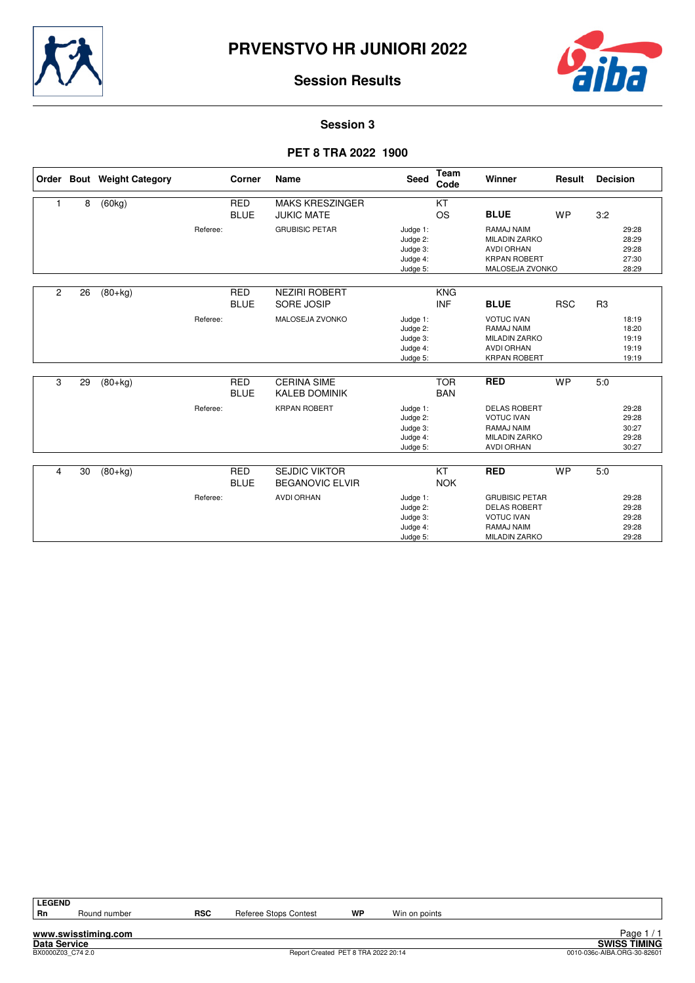



**Session 3**

## **PET 8 TRA 2022 1900**

|                |    | Order Bout Weight Category |          | Corner                    | Name                                        | <b>Seed</b>                                              | Team<br>Code             | Winner                                                                                                  | Result     | <b>Decision</b> |                                           |
|----------------|----|----------------------------|----------|---------------------------|---------------------------------------------|----------------------------------------------------------|--------------------------|---------------------------------------------------------------------------------------------------------|------------|-----------------|-------------------------------------------|
|                | 8  | (60kg)                     |          | <b>RED</b><br><b>BLUE</b> | <b>MAKS KRESZINGER</b><br><b>JUKIC MATE</b> |                                                          | KT<br><b>OS</b>          | <b>BLUE</b>                                                                                             | <b>WP</b>  | 3:2             |                                           |
|                |    |                            | Referee: |                           | <b>GRUBISIC PETAR</b>                       | Judge 1:<br>Judge 2:<br>Judge 3:<br>Judge 4:<br>Judge 5: |                          | RAMAJ NAIM<br><b>MILADIN ZARKO</b><br><b>AVDI ORHAN</b><br><b>KRPAN ROBERT</b><br>MALOSEJA ZVONKO       |            |                 | 29:28<br>28:29<br>29:28<br>27:30<br>28:29 |
| $\overline{c}$ | 26 | $(80+kg)$                  |          | <b>RED</b><br><b>BLUE</b> | <b>NEZIRI ROBERT</b><br>SORE JOSIP          |                                                          | <b>KNG</b><br><b>INF</b> | <b>BLUE</b>                                                                                             | <b>RSC</b> | R <sub>3</sub>  |                                           |
|                |    |                            | Referee: |                           | MALOSEJA ZVONKO                             | Judge 1:<br>Judge 2:<br>Judge 3:<br>Judge 4:<br>Judge 5: |                          | <b>VOTUC IVAN</b><br>RAMAJ NAIM<br><b>MILADIN ZARKO</b><br><b>AVDI ORHAN</b><br><b>KRPAN ROBERT</b>     |            |                 | 18:19<br>18:20<br>19:19<br>19:19<br>19:19 |
| 3              | 29 | $(80+kg)$                  |          | <b>RED</b><br><b>BLUE</b> | <b>CERINA SIME</b><br><b>KALEB DOMINIK</b>  |                                                          | <b>TOR</b><br><b>BAN</b> | <b>RED</b>                                                                                              | <b>WP</b>  | 5:0             |                                           |
|                |    |                            | Referee: |                           | <b>KRPAN ROBERT</b>                         | Judge 1:<br>Judge 2:<br>Judge 3:<br>Judge 4:<br>Judge 5: |                          | <b>DELAS ROBERT</b><br><b>VOTUC IVAN</b><br>RAMAJ NAIM<br><b>MILADIN ZARKO</b><br><b>AVDI ORHAN</b>     |            |                 | 29:28<br>29:28<br>30:27<br>29:28<br>30:27 |
| 4              | 30 | $(80+kg)$                  |          | <b>RED</b>                | <b>SEJDIC VIKTOR</b>                        |                                                          | $\overline{KT}$          | <b>RED</b>                                                                                              | <b>WP</b>  | 5:0             |                                           |
|                |    |                            |          | <b>BLUE</b>               | <b>BEGANOVIC ELVIR</b>                      |                                                          | <b>NOK</b>               |                                                                                                         |            |                 |                                           |
|                |    |                            | Referee: |                           | <b>AVDI ORHAN</b>                           | Judge 1:<br>Judge 2:<br>Judge 3:<br>Judge 4:<br>Judge 5: |                          | <b>GRUBISIC PETAR</b><br><b>DELAS ROBERT</b><br><b>VOTUC IVAN</b><br>RAMAJ NAIM<br><b>MILADIN ZARKO</b> |            |                 | 29:28<br>29:28<br>29:28<br>29:28<br>29:28 |

**LEGEND**

**www.swisstiming.com**

Round number **RSC** Referee Stops Contest **WP** Win on points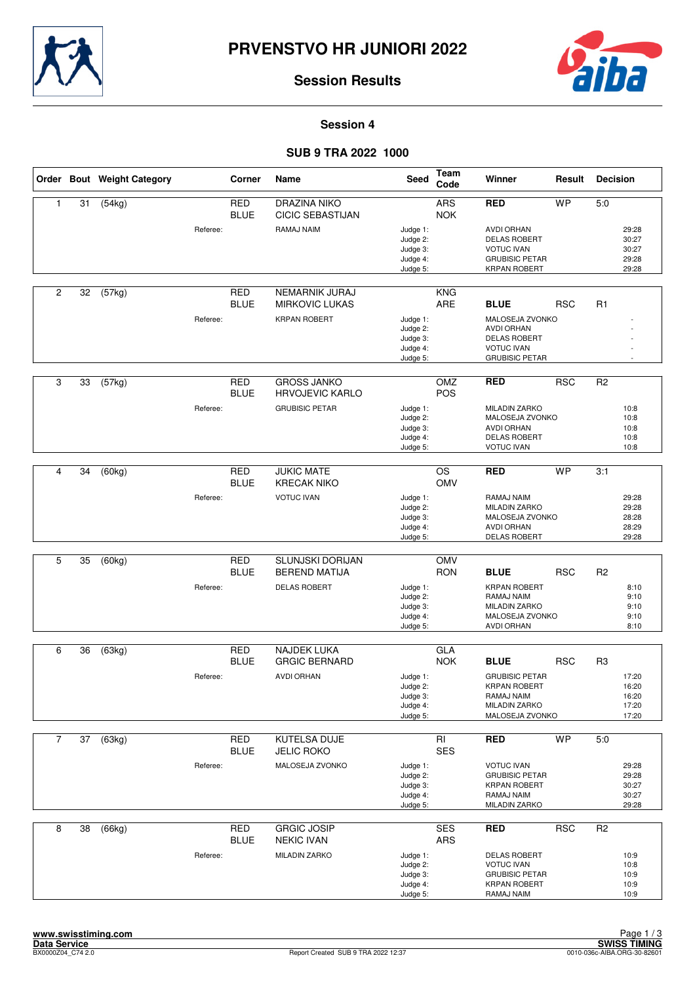



**Session 4**

## **SUB 9 TRA 2022 1000**

|                |    | Order Bout Weight Category |          | Corner                    | Name                                            | <b>Seed</b>                                              | <b>Team</b><br>Code                  | Winner                                                                                                        | Result     | <b>Decision</b> |                                           |
|----------------|----|----------------------------|----------|---------------------------|-------------------------------------------------|----------------------------------------------------------|--------------------------------------|---------------------------------------------------------------------------------------------------------------|------------|-----------------|-------------------------------------------|
| $\mathbf{1}$   | 31 | (54kg)                     |          | <b>RED</b><br><b>BLUE</b> | <b>DRAZINA NIKO</b><br><b>CICIC SEBASTIJAN</b>  |                                                          | ARS<br><b>NOK</b>                    | <b>RED</b>                                                                                                    | <b>WP</b>  | 5:0             |                                           |
|                |    |                            | Referee: |                           | RAMAJ NAIM                                      | Judge 1:<br>Judge 2:<br>Judge 3:<br>Judge 4:<br>Judge 5: |                                      | <b>AVDI ORHAN</b><br><b>DELAS ROBERT</b><br><b>VOTUC IVAN</b><br><b>GRUBISIC PETAR</b><br><b>KRPAN ROBERT</b> |            |                 | 29:28<br>30:27<br>30:27<br>29:28<br>29:28 |
| $\overline{c}$ | 32 | (57kg)                     |          | <b>RED</b><br><b>BLUE</b> | NEMARNIK JURAJ<br><b>MIRKOVIC LUKAS</b>         |                                                          | <b>KNG</b><br>ARE                    | <b>BLUE</b>                                                                                                   | <b>RSC</b> | R <sub>1</sub>  |                                           |
|                |    |                            | Referee: |                           | <b>KRPAN ROBERT</b>                             | Judge 1:<br>Judge 2:<br>Judge 3:<br>Judge 4:<br>Judge 5: |                                      | MALOSEJA ZVONKO<br><b>AVDI ORHAN</b><br><b>DELAS ROBERT</b><br><b>VOTUC IVAN</b><br><b>GRUBISIC PETAR</b>     |            |                 |                                           |
| 3              | 33 | (57kg)                     |          | <b>RED</b><br><b>BLUE</b> | <b>GROSS JANKO</b><br><b>HRVOJEVIC KARLO</b>    |                                                          | OMZ<br><b>POS</b>                    | <b>RED</b>                                                                                                    | <b>RSC</b> | R <sub>2</sub>  |                                           |
|                |    |                            | Referee: |                           | <b>GRUBISIC PETAR</b>                           | Judge 1:<br>Judge 2:<br>Judge 3:<br>Judge 4:<br>Judge 5: |                                      | <b>MILADIN ZARKO</b><br>MALOSEJA ZVONKO<br><b>AVDI ORHAN</b><br><b>DELAS ROBERT</b><br><b>VOTUC IVAN</b>      |            |                 | 10:8<br>10:8<br>10:8<br>10:8<br>10:8      |
|                |    |                            |          |                           |                                                 |                                                          |                                      |                                                                                                               |            |                 |                                           |
| 4              | 34 | (60kg)                     |          | <b>RED</b><br><b>BLUE</b> | <b>JUKIC MATE</b><br><b>KRECAK NIKO</b>         |                                                          | $\overline{\text{OS}}$<br><b>OMV</b> | <b>RED</b>                                                                                                    | <b>WP</b>  | 3:1             |                                           |
|                |    |                            | Referee: |                           | <b>VOTUC IVAN</b>                               | Judge 1:<br>Judge 2:<br>Judge 3:<br>Judge 4:<br>Judge 5: |                                      | RAMAJ NAIM<br><b>MILADIN ZARKO</b><br>MALOSEJA ZVONKO<br>AVDI ORHAN<br><b>DELAS ROBERT</b>                    |            |                 | 29:28<br>29:28<br>28:28<br>28:29<br>29:28 |
|                |    |                            |          |                           |                                                 |                                                          |                                      |                                                                                                               |            |                 |                                           |
| 5              | 35 | (60kg)                     |          | <b>RED</b><br><b>BLUE</b> | <b>SLUNJSKI DORIJAN</b><br><b>BEREND MATIJA</b> |                                                          | <b>OMV</b><br><b>RON</b>             | <b>BLUE</b>                                                                                                   | <b>RSC</b> | R <sub>2</sub>  |                                           |
|                |    |                            | Referee: |                           | <b>DELAS ROBERT</b>                             | Judge 1:<br>Judge 2:<br>Judge 3:<br>Judge 4:<br>Judge 5: |                                      | <b>KRPAN ROBERT</b><br>RAMAJ NAIM<br><b>MILADIN ZARKO</b><br>MALOSEJA ZVONKO<br>AVDI ORHAN                    |            |                 | 8:10<br>9:10<br>9:10<br>9:10<br>8:10      |
|                |    |                            |          |                           |                                                 |                                                          |                                      |                                                                                                               |            |                 |                                           |
| 6              | 36 | (63kg)                     |          | <b>RED</b><br><b>BLUE</b> | <b>NAJDEK LUKA</b><br><b>GRGIC BERNARD</b>      |                                                          | GLA<br><b>NOK</b>                    | <b>BLUE</b>                                                                                                   | <b>RSC</b> | R <sub>3</sub>  |                                           |
|                |    |                            | Referee: |                           | <b>AVDI ORHAN</b>                               | Judge 1:<br>Judge 2:<br>Judge 3:<br>Judge 4:<br>Judge 5: |                                      | <b>GRUBISIC PETAR</b><br><b>KRPAN ROBERT</b><br>RAMAJ NAIM<br><b>MILADIN ZARKO</b><br>MALOSEJA ZVONKO         |            |                 | 17:20<br>16:20<br>16:20<br>17:20<br>17:20 |
| $\overline{7}$ | 37 | (63kg)                     |          | RED                       | <b>KUTELSA DUJE</b>                             |                                                          | RI                                   | <b>RED</b>                                                                                                    | <b>WP</b>  | 5:0             |                                           |
|                |    |                            |          | <b>BLUE</b>               | <b>JELIC ROKO</b>                               |                                                          | <b>SES</b>                           |                                                                                                               |            |                 |                                           |
|                |    |                            | Referee: |                           | MALOSEJA ZVONKO                                 | Judge 1:<br>Judge 2:<br>Judge 3:<br>Judge 4:<br>Judge 5: |                                      | <b>VOTUC IVAN</b><br><b>GRUBISIC PETAR</b><br><b>KRPAN ROBERT</b><br>RAMAJ NAIM<br><b>MILADIN ZARKO</b>       |            |                 | 29:28<br>29:28<br>30:27<br>30:27<br>29:28 |
| 8              | 38 | (66kg)                     |          | <b>RED</b>                | <b>GRGIC JOSIP</b>                              |                                                          | <b>SES</b>                           | <b>RED</b>                                                                                                    | <b>RSC</b> | R <sub>2</sub>  |                                           |
|                |    |                            | Referee: | <b>BLUE</b>               | <b>NEKIC IVAN</b><br><b>MILADIN ZARKO</b>       | Judge 1:<br>Judge 2:<br>Judge 3:<br>Judge 4:<br>Judge 5: | ARS                                  | <b>DELAS ROBERT</b><br><b>VOTUC IVAN</b><br><b>GRUBISIC PETAR</b><br><b>KRPAN ROBERT</b><br>RAMAJ NAIM        |            |                 | 10:9<br>10:8<br>10:9<br>10:9<br>10:9      |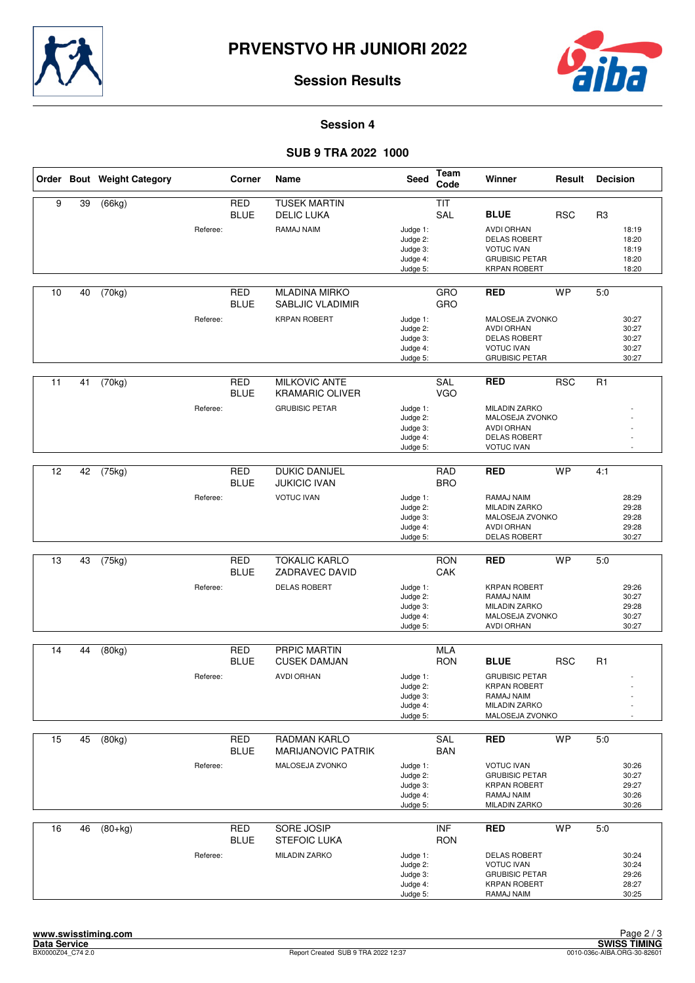



**Session 4**

## **SUB 9 TRA 2022 1000**

|    |    | Order Bout Weight Category |          | Corner                    | Name                                           | Seed                                                     | <b>Team</b><br>Code      | Winner                                                                                                        | Result     | <b>Decision</b> |                                           |
|----|----|----------------------------|----------|---------------------------|------------------------------------------------|----------------------------------------------------------|--------------------------|---------------------------------------------------------------------------------------------------------------|------------|-----------------|-------------------------------------------|
| 9  | 39 | (66kg)                     |          | <b>RED</b><br><b>BLUE</b> | <b>TUSEK MARTIN</b><br><b>DELIC LUKA</b>       |                                                          | <b>TIT</b><br>SAL        | <b>BLUE</b>                                                                                                   | <b>RSC</b> | R3              |                                           |
|    |    |                            | Referee: |                           | RAMAJ NAIM                                     | Judge 1:<br>Judge 2:<br>Judge 3:<br>Judge 4:<br>Judge 5: |                          | <b>AVDI ORHAN</b><br><b>DELAS ROBERT</b><br><b>VOTUC IVAN</b><br><b>GRUBISIC PETAR</b><br><b>KRPAN ROBERT</b> |            |                 | 18:19<br>18:20<br>18:19<br>18:20<br>18:20 |
| 10 | 40 | (70kg)                     |          | <b>RED</b><br><b>BLUE</b> | <b>MLADINA MIRKO</b><br>SABLJIC VLADIMIR       |                                                          | GRO<br>GRO               | <b>RED</b>                                                                                                    | <b>WP</b>  | 5:0             |                                           |
|    |    |                            | Referee: |                           | <b>KRPAN ROBERT</b>                            | Judge 1:<br>Judge 2:<br>Judge 3:<br>Judge 4:<br>Judge 5: |                          | MALOSEJA ZVONKO<br><b>AVDI ORHAN</b><br><b>DELAS ROBERT</b><br><b>VOTUC IVAN</b><br><b>GRUBISIC PETAR</b>     |            |                 | 30:27<br>30:27<br>30:27<br>30:27<br>30:27 |
| 11 | 41 | (70kg)                     |          | <b>RED</b><br><b>BLUE</b> | <b>MILKOVIC ANTE</b><br><b>KRAMARIC OLIVER</b> |                                                          | SAL<br><b>VGO</b>        | <b>RED</b>                                                                                                    | <b>RSC</b> | R <sub>1</sub>  |                                           |
|    |    |                            | Referee: |                           | <b>GRUBISIC PETAR</b>                          | Judge 1:<br>Judge 2:<br>Judge 3:<br>Judge 4:<br>Judge 5: |                          | <b>MILADIN ZARKO</b><br>MALOSEJA ZVONKO<br><b>AVDI ORHAN</b><br><b>DELAS ROBERT</b><br><b>VOTUC IVAN</b>      |            |                 |                                           |
| 12 | 42 | (75kg)                     |          | <b>RED</b>                | <b>DUKIC DANIJEL</b>                           |                                                          | RAD                      | <b>RED</b>                                                                                                    | <b>WP</b>  | 4:1             |                                           |
|    |    |                            |          | <b>BLUE</b>               | <b>JUKICIC IVAN</b>                            |                                                          | <b>BRO</b>               |                                                                                                               |            |                 |                                           |
|    |    |                            | Referee: |                           | <b>VOTUC IVAN</b>                              | Judge 1:<br>Judge 2:<br>Judge 3:<br>Judge 4:<br>Judge 5: |                          | RAMAJ NAIM<br>MILADIN ZARKO<br>MALOSEJA ZVONKO<br><b>AVDI ORHAN</b><br><b>DELAS ROBERT</b>                    |            |                 | 28:29<br>29:28<br>29:28<br>29:28<br>30:27 |
|    |    |                            |          |                           |                                                |                                                          |                          |                                                                                                               |            |                 |                                           |
| 13 | 43 | (75kg)                     |          | <b>RED</b><br><b>BLUE</b> | <b>TOKALIC KARLO</b><br>ZADRAVEC DAVID         |                                                          | <b>RON</b><br>CAK        | <b>RED</b>                                                                                                    | <b>WP</b>  | 5.0             |                                           |
|    |    |                            | Referee: |                           | <b>DELAS ROBERT</b>                            | Judge 1:<br>Judge 2:<br>Judge 3:<br>Judge 4:<br>Judge 5: |                          | <b>KRPAN ROBERT</b><br>RAMAJ NAIM<br><b>MILADIN ZARKO</b><br>MALOSEJA ZVONKO<br><b>AVDI ORHAN</b>             |            |                 | 29:26<br>30:27<br>29:28<br>30:27<br>30:27 |
| 14 | 44 | (80kg)                     |          | <b>RED</b>                | PRPIC MARTIN                                   |                                                          | <b>MLA</b>               |                                                                                                               |            |                 |                                           |
|    |    |                            |          | <b>BLUE</b>               | <b>CUSEK DAMJAN</b>                            |                                                          | <b>RON</b>               | <b>BLUE</b>                                                                                                   | <b>RSC</b> | R1              |                                           |
|    |    |                            | Referee: |                           | <b>AVDI ORHAN</b>                              | Judge 1:<br>Judge 2:<br>Judge 3:<br>Judge 4:<br>Judge 5: |                          | <b>GRUBISIC PETAR</b><br><b>KRPAN ROBERT</b><br>RAMAJ NAIM<br><b>MILADIN ZARKO</b><br>MALOSEJA ZVONKO         |            |                 |                                           |
| 15 | 45 | (80kg)                     |          | RED                       | <b>RADMAN KARLO</b>                            |                                                          | <b>SAL</b>               | <b>RED</b>                                                                                                    | <b>WP</b>  | 5:0             |                                           |
|    |    |                            |          | <b>BLUE</b>               | <b>MARIJANOVIC PATRIK</b>                      |                                                          | <b>BAN</b>               |                                                                                                               |            |                 |                                           |
|    |    |                            | Referee: |                           | MALOSEJA ZVONKO                                | Judge 1:<br>Judge 2:<br>Judge 3:<br>Judge 4:<br>Judge 5: |                          | <b>VOTUC IVAN</b><br><b>GRUBISIC PETAR</b><br><b>KRPAN ROBERT</b><br>RAMAJ NAIM<br><b>MILADIN ZARKO</b>       |            |                 | 30:26<br>30:27<br>29:27<br>30:26<br>30:26 |
| 16 | 46 | $(80+kg)$                  |          | <b>RED</b><br><b>BLUE</b> | SORE JOSIP<br><b>STEFOIC LUKA</b>              |                                                          | <b>INF</b><br><b>RON</b> | <b>RED</b>                                                                                                    | <b>WP</b>  | 5:0             |                                           |
|    |    |                            | Referee: |                           | <b>MILADIN ZARKO</b>                           | Judge 1:<br>Judge 2:<br>Judge 3:<br>Judge 4:<br>Judge 5: |                          | <b>DELAS ROBERT</b><br><b>VOTUC IVAN</b><br><b>GRUBISIC PETAR</b><br><b>KRPAN ROBERT</b><br>RAMAJ NAIM        |            |                 | 30:24<br>30:24<br>29:26<br>28:27<br>30:25 |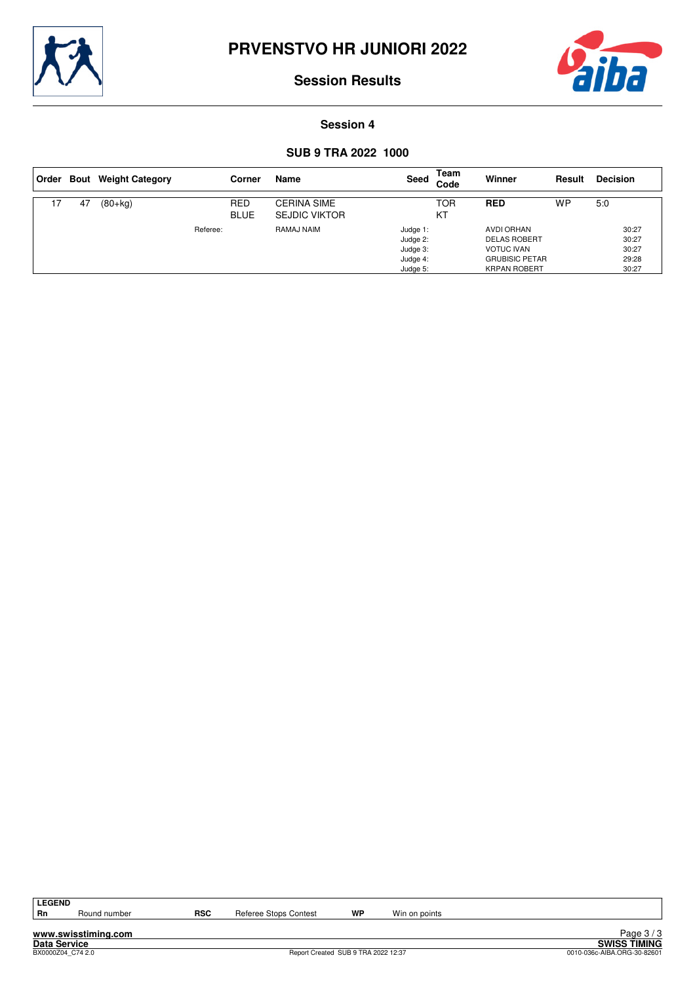



#### **Session 4**

## **SUB 9 TRA 2022 1000**

| ⊦Order |    | <b>Bout</b> Weight Category |          | Corner                    | Name                                       | Seed                                                     | Team<br>Code | Winner                                                                                                        | Result    | <b>Decision</b>                           |
|--------|----|-----------------------------|----------|---------------------------|--------------------------------------------|----------------------------------------------------------|--------------|---------------------------------------------------------------------------------------------------------------|-----------|-------------------------------------------|
| 7      | 47 | $(80+kg)$                   |          | <b>RED</b><br><b>BLUE</b> | <b>CERINA SIME</b><br><b>SEJDIC VIKTOR</b> |                                                          | TOR<br>KT    | <b>RED</b>                                                                                                    | <b>WP</b> | 5:0                                       |
|        |    |                             | Referee: |                           | RAMAJ NAIM                                 | Judge 1:<br>Judge 2:<br>Judge 3:<br>Judge 4:<br>Judge 5: |              | <b>AVDI ORHAN</b><br><b>DELAS ROBERT</b><br><b>VOTUC IVAN</b><br><b>GRUBISIC PETAR</b><br><b>KRPAN ROBERT</b> |           | 30:27<br>30:27<br>30:27<br>29:28<br>30:27 |

LEGEND<br>Rn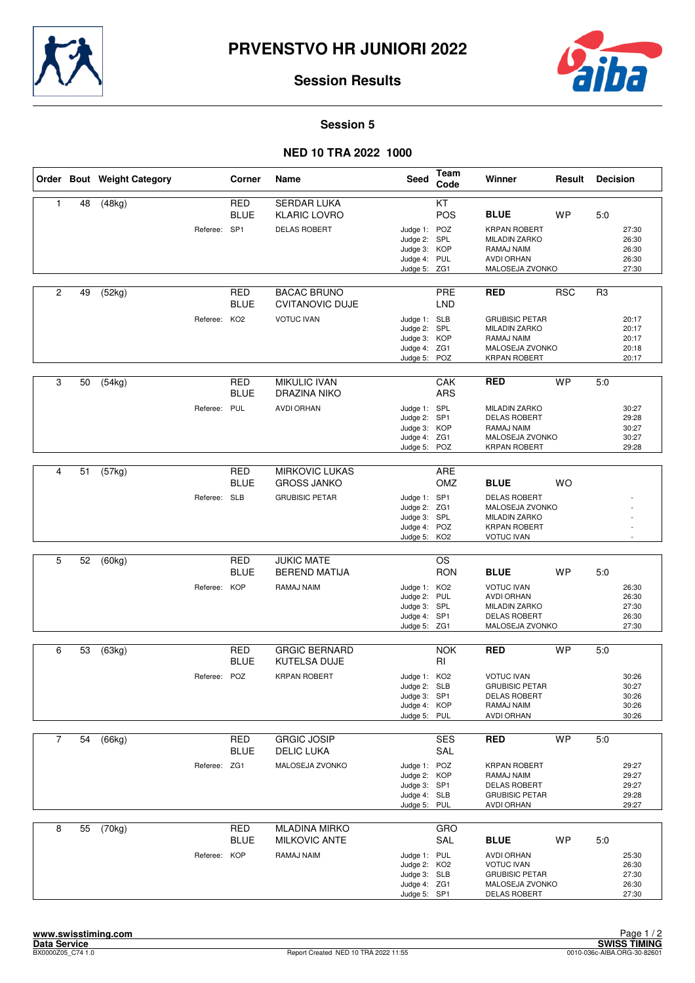



#### **Session 5**

## **NED 10 TRA 2022 1000**

|                |    | Order Bout Weight Category |              | Corner                    | Name                                         | <b>Seed</b>                                                                  | Team<br>Code             | Winner                                                                                                     | Result     | <b>Decision</b> |                                           |
|----------------|----|----------------------------|--------------|---------------------------|----------------------------------------------|------------------------------------------------------------------------------|--------------------------|------------------------------------------------------------------------------------------------------------|------------|-----------------|-------------------------------------------|
| $\mathbf{1}$   | 48 | (48kg)                     |              | <b>RED</b><br><b>BLUE</b> | <b>SERDAR LUKA</b><br><b>KLARIC LOVRO</b>    |                                                                              | KT<br>POS                | <b>BLUE</b>                                                                                                | <b>WP</b>  | 5:0             |                                           |
|                |    |                            | Referee: SP1 |                           | <b>DELAS ROBERT</b>                          | Judge 1: POZ<br>Judge 2: SPL<br>Judge 3: KOP<br>Judge 4: PUL<br>Judge 5: ZG1 |                          | <b>KRPAN ROBERT</b><br><b>MILADIN ZARKO</b><br>RAMAJ NAIM<br><b>AVDI ORHAN</b><br>MALOSEJA ZVONKO          |            |                 | 27:30<br>26:30<br>26:30<br>26:30<br>27:30 |
| $\overline{c}$ | 49 | (52kg)                     |              | RED<br><b>BLUE</b>        | <b>BACAC BRUNO</b><br><b>CVITANOVIC DUJE</b> |                                                                              | <b>PRE</b><br><b>LND</b> | <b>RED</b>                                                                                                 | <b>RSC</b> | R3              |                                           |
|                |    |                            | Referee:     | KO <sub>2</sub>           | <b>VOTUC IVAN</b>                            | Judge 1: SLB<br>Judge 2: SPL<br>Judge 3: KOP<br>Judge 4: ZG1<br>Judge 5: POZ |                          | <b>GRUBISIC PETAR</b><br><b>MILADIN ZARKO</b><br>RAMAJ NAIM<br>MALOSEJA ZVONKO<br><b>KRPAN ROBERT</b>      |            |                 | 20:17<br>20:17<br>20:17<br>20:18<br>20:17 |
| 3              | 50 | (54kg)                     |              | <b>RED</b><br><b>BLUE</b> | <b>MIKULIC IVAN</b><br><b>DRAZINA NIKO</b>   |                                                                              | CAK<br><b>ARS</b>        | <b>RED</b>                                                                                                 | <b>WP</b>  | 5.0             |                                           |
|                |    |                            | Referee: PUL |                           | <b>AVDI ORHAN</b>                            | Judge 1: SPL<br>Judge 2: SP1<br>Judge 3: KOP<br>Judge 4: ZG1<br>Judge 5:     | POZ                      | <b>MILADIN ZARKO</b><br><b>DELAS ROBERT</b><br>RAMAJ NAIM<br>MALOSEJA ZVONKO<br><b>KRPAN ROBERT</b>        |            |                 | 30:27<br>29:28<br>30:27<br>30:27<br>29:28 |
| $\overline{4}$ | 51 | (57kg)                     |              | <b>RED</b>                | <b>MIRKOVIC LUKAS</b>                        |                                                                              | ARE                      |                                                                                                            |            |                 |                                           |
|                |    |                            |              | <b>BLUE</b>               | <b>GROSS JANKO</b>                           |                                                                              | OMZ                      | <b>BLUE</b>                                                                                                | <b>WO</b>  |                 |                                           |
|                |    |                            | Referee: SLB |                           | <b>GRUBISIC PETAR</b>                        | Judge 1: SP1<br>Judge 2: ZG1<br>Judge 3: SPL<br>Judge 4: POZ<br>Judge 5: KO2 |                          | <b>DELAS ROBERT</b><br>MALOSEJA ZVONKO<br><b>MILADIN ZARKO</b><br><b>KRPAN ROBERT</b><br><b>VOTUC IVAN</b> |            |                 |                                           |
| 5              | 52 |                            |              | <b>RED</b>                | <b>JUKIC MATE</b>                            |                                                                              | <b>OS</b>                |                                                                                                            |            |                 |                                           |
|                |    | (60kg)                     |              | <b>BLUE</b>               | <b>BEREND MATIJA</b>                         |                                                                              | <b>RON</b>               | <b>BLUE</b>                                                                                                | <b>WP</b>  | 5:0             |                                           |
|                |    |                            | Referee:     | <b>KOP</b>                | RAMAJ NAIM                                   | Judge 1: KO2<br>Judge 2: PUL<br>Judge 3: SPL<br>Judge 4: SP1<br>Judge 5: ZG1 |                          | <b>VOTUC IVAN</b><br><b>AVDI ORHAN</b><br><b>MILADIN ZARKO</b><br><b>DELAS ROBERT</b><br>MALOSEJA ZVONKO   |            |                 | 26:30<br>26:30<br>27:30<br>26:30<br>27:30 |
| 6              | 53 | (63kg)                     |              | RED                       | <b>GRGIC BERNARD</b>                         |                                                                              | <b>NOK</b>               | <b>RED</b>                                                                                                 | <b>WP</b>  | 5.0             |                                           |
|                |    |                            |              | <b>BLUE</b>               | <b>KUTELSA DUJE</b>                          |                                                                              | RI                       |                                                                                                            |            |                 |                                           |
|                |    |                            | Referee:     | POZ                       | <b>KRPAN ROBERT</b>                          | Judge 1: KO2<br>Judge 2: SLB<br>Judge 3: SP1<br>Judge 4: KOP<br>Judge 5: PUL |                          | <b>VOTUC IVAN</b><br><b>GRUBISIC PETAR</b><br><b>DELAS ROBERT</b><br>RAMAJ NAIM<br><b>AVDI ORHAN</b>       |            |                 | 30:26<br>30:27<br>30:26<br>30:26<br>30:26 |
| $\overline{7}$ | 54 | (66kg)                     |              | <b>RED</b><br><b>BLUE</b> | <b>GRGIC JOSIP</b><br><b>DELIC LUKA</b>      |                                                                              | <b>SES</b><br>SAL        | <b>RED</b>                                                                                                 | <b>WP</b>  | 5:0             |                                           |
|                |    |                            | Referee: ZG1 |                           | MALOSEJA ZVONKO                              | Judge 1: POZ<br>Judge 2: KOP<br>Judge 3: SP1<br>Judge 4: SLB<br>Judge 5: PUL |                          | <b>KRPAN ROBERT</b><br>RAMAJ NAIM<br><b>DELAS ROBERT</b><br><b>GRUBISIC PETAR</b><br>AVDI ORHAN            |            |                 | 29:27<br>29:27<br>29:27<br>29:28<br>29:27 |
| 8              | 55 | (70kg)                     |              | <b>RED</b>                | <b>MLADINA MIRKO</b>                         |                                                                              | GRO                      |                                                                                                            |            |                 |                                           |
|                |    |                            |              | <b>BLUE</b>               | <b>MILKOVIC ANTE</b>                         |                                                                              | SAL                      | <b>BLUE</b>                                                                                                | <b>WP</b>  | 5:0             |                                           |
|                |    |                            | Referee: KOP |                           | RAMAJ NAIM                                   | Judge 1: PUL<br>Judge 2: KO2<br>Judge 3: SLB<br>Judge 4: ZG1<br>Judge 5: SP1 |                          | <b>AVDI ORHAN</b><br><b>VOTUC IVAN</b><br><b>GRUBISIC PETAR</b><br>MALOSEJA ZVONKO<br><b>DELAS ROBERT</b>  |            |                 | 25:30<br>26:30<br>27:30<br>26:30<br>27:30 |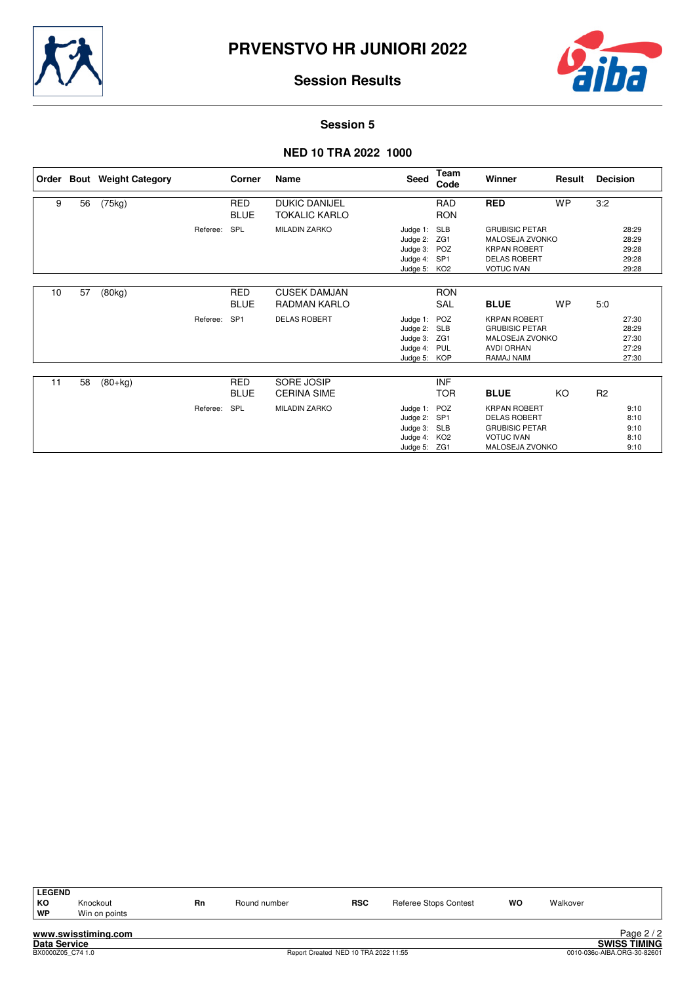



#### **Session 5**

## **NED 10 TRA 2022 1000**

|    |    | Order Bout Weight Category |          | Corner                    | Name                                         | Seed                                                                         | <b>Team</b><br>Code      | Winner                                                                                                             | Result    | <b>Decision</b>                           |
|----|----|----------------------------|----------|---------------------------|----------------------------------------------|------------------------------------------------------------------------------|--------------------------|--------------------------------------------------------------------------------------------------------------------|-----------|-------------------------------------------|
| 9  | 56 | (75kg)                     |          | <b>RED</b><br><b>BLUE</b> | <b>DUKIC DANIJEL</b><br><b>TOKALIC KARLO</b> |                                                                              | <b>RAD</b><br><b>RON</b> | <b>RED</b>                                                                                                         | <b>WP</b> | 3:2                                       |
|    |    |                            | Referee: | <b>SPL</b>                | <b>MILADIN ZARKO</b>                         | Judge 1: SLB<br>Judge 2: ZG1<br>Judge 3: POZ<br>Judge 4: SP1<br>Judge 5: KO2 |                          | <b>GRUBISIC PETAR</b><br>MALOSEJA ZVONKO<br><b>KRPAN ROBERT</b><br><b>DELAS ROBERT</b><br><b>VOTUC IVAN</b>        |           | 28:29<br>28:29<br>29:28<br>29:28<br>29:28 |
| 10 | 57 | (80kg)                     |          | <b>RED</b><br><b>BLUE</b> | <b>CUSEK DAMJAN</b><br><b>RADMAN KARLO</b>   |                                                                              | <b>RON</b><br><b>SAL</b> | <b>BLUE</b>                                                                                                        | <b>WP</b> | 5:0                                       |
|    |    |                            | Referee: | SP <sub>1</sub>           | <b>DELAS ROBERT</b>                          | Judge 1: POZ<br>Judge 2: SLB<br>Judge 3: ZG1<br>Judge 4: PUL<br>Judge 5: KOP |                          | <b>KRPAN ROBERT</b><br><b>GRUBISIC PETAR</b><br>MALOSEJA ZVONKO<br><b>AVDI ORHAN</b><br>RAMAJ NAIM                 |           | 27:30<br>28:29<br>27:30<br>27:29<br>27:30 |
| 11 | 58 | $(80+kg)$                  |          | <b>RED</b><br><b>BLUE</b> | SORE JOSIP<br><b>CERINA SIME</b>             |                                                                              | <b>INF</b><br><b>TOR</b> | <b>BLUE</b>                                                                                                        | KO        | R2                                        |
|    |    |                            | Referee: | SPL                       | <b>MILADIN ZARKO</b>                         | Judge 1: POZ<br>Judge 2: SP1<br>Judge 3: SLB<br>Judge 4: KO2<br>Judge 5: ZG1 |                          | <b>KRPAN ROBERT</b><br><b>DELAS ROBERT</b><br><b>GRUBISIC PETAR</b><br><b>VOTUC IVAN</b><br><b>MALOSEJA ZVONKO</b> |           | 9:10<br>8:10<br>9:10<br>8:10<br>9:10      |

| <b>LEGEND</b> |                     |    |              |            |                       |    |          |            |
|---------------|---------------------|----|--------------|------------|-----------------------|----|----------|------------|
| KO            | Knockout            | Rn | Round number | <b>RSC</b> | Referee Stops Contest | WO | Walkover |            |
| <b>WP</b>     | Win on points       |    |              |            |                       |    |          |            |
|               | www.swisstiming.com |    |              |            |                       |    |          | Page $2/2$ |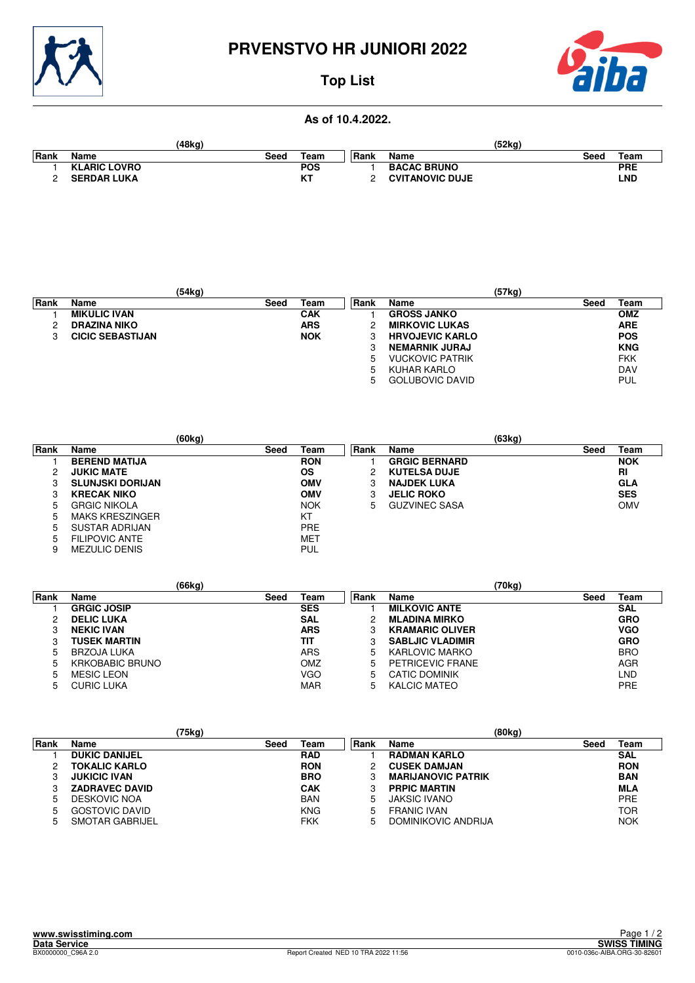

# **PRVENSTVO HR JUNIORI 2022**



# **Top List**

# **As of 10.4.2022.**

|             |                     | (48kg) |                     |       |                        | (52ka) |            |
|-------------|---------------------|--------|---------------------|-------|------------------------|--------|------------|
| <b>Rank</b> | Name                | Seed   | Team                | ∣Rank | Name                   | Seed   | Team       |
|             | <b>KLARIC LOVRO</b> |        | <b>POS</b>          |       | <b>BACAC BRUNO</b>     |        | <b>PRE</b> |
|             | <b>SERDAR LUKA</b>  |        | $\mathbf{V}$<br>n ı |       | <b>CVITANOVIC DUJE</b> |        | LND        |

|      |                         | (54kg) |            |             |                        | (57kg) |            |
|------|-------------------------|--------|------------|-------------|------------------------|--------|------------|
| Rank | Name                    | Seed   | Team       | <b>Rank</b> | Name                   | Seed   | Team       |
|      | <b>MIKULIC IVAN</b>     |        | <b>CAK</b> |             | <b>GROSS JANKO</b>     |        | <b>OMZ</b> |
| ◠    | <b>DRAZINA NIKO</b>     |        | <b>ARS</b> |             | <b>MIRKOVIC LUKAS</b>  |        | <b>ARE</b> |
|      | <b>CICIC SEBASTIJAN</b> |        | <b>NOK</b> | 3           | <b>HRVOJEVIC KARLO</b> |        | <b>POS</b> |
|      |                         |        |            | 3           | <b>NEMARNIK JURAJ</b>  |        | <b>KNG</b> |
|      |                         |        |            | 5           | <b>VUCKOVIC PATRIK</b> |        | <b>FKK</b> |
|      |                         |        |            | 5           | KUHAR KARLO            |        | <b>DAV</b> |
|      |                         |        |            | 5           | <b>GOLUBOVIC DAVID</b> |        | <b>PUL</b> |

|       |                         | (60kg) |            |             |                      | (63kg) |            |
|-------|-------------------------|--------|------------|-------------|----------------------|--------|------------|
| ∣Rank | <b>Name</b>             | Seed   | Team       | <b>Rank</b> | Name                 | Seed   | Team       |
|       | <b>BEREND MATIJA</b>    |        | <b>RON</b> |             | <b>GRGIC BERNARD</b> |        | <b>NOK</b> |
| 2     | <b>JUKIC MATE</b>       |        | <b>OS</b>  |             | <b>KUTELSA DUJE</b>  |        | <b>RI</b>  |
| 3     | <b>SLUNJSKI DORIJAN</b> |        | <b>OMV</b> | 3           | <b>NAJDEK LUKA</b>   |        | <b>GLA</b> |
| 3     | <b>KRECAK NIKO</b>      |        | <b>OMV</b> | 3           | <b>JELIC ROKO</b>    |        | <b>SES</b> |
| 5     | <b>GRGIC NIKOLA</b>     |        | <b>NOK</b> | 5           | <b>GUZVINEC SASA</b> |        | <b>OMV</b> |
| 5     | <b>MAKS KRESZINGER</b>  |        | KT         |             |                      |        |            |
| 5     | SUSTAR ADRIJAN          |        | <b>PRE</b> |             |                      |        |            |
| 5     | FILIPOVIC ANTE          |        | <b>MET</b> |             |                      |        |            |
| 9     | <b>MEZULIC DENIS</b>    |        | PUL        |             |                      |        |            |

|      |                        | (66kg) |            |             | (70kg)                  |              |
|------|------------------------|--------|------------|-------------|-------------------------|--------------|
| Rank | <b>Name</b>            | Seed   | Team       | <b>Rank</b> | Name                    | Team<br>Seed |
|      | <b>GRGIC JOSIP</b>     |        | <b>SES</b> |             | <b>MILKOVIC ANTE</b>    | <b>SAL</b>   |
| 2    | <b>DELIC LUKA</b>      |        | <b>SAL</b> |             | <b>MLADINA MIRKO</b>    | <b>GRO</b>   |
|      | <b>NEKIC IVAN</b>      |        | <b>ARS</b> |             | <b>KRAMARIC OLIVER</b>  | <b>VGO</b>   |
|      | <b>TUSEK MARTIN</b>    |        | TIT        |             | <b>SABLJIC VLADIMIR</b> | <b>GRO</b>   |
| 5    | BRZOJA LUKA            |        | ARS        | 5           | KARLOVIC MARKO          | <b>BRO</b>   |
| 5    | <b>KRKOBABIC BRUNO</b> |        | OMZ        | 5           | PETRICEVIC FRANE        | AGR          |
| 5    | <b>MESIC LEON</b>      |        | VGO        | 5           | CATIC DOMINIK           | LND          |
| 5    | <b>CURIC LUKA</b>      |        | <b>MAR</b> | 5.          | KALCIC MATEO            | <b>PRE</b>   |

|      |                       | (75kg) |            |      | (80kg)                    |      |            |
|------|-----------------------|--------|------------|------|---------------------------|------|------------|
| Rank | Name                  | Seed   | Team       | Rank | Name                      | Seed | Team       |
|      | <b>DUKIC DANIJEL</b>  |        | <b>RAD</b> |      | <b>RADMAN KARLO</b>       |      | <b>SAL</b> |
|      | <b>TOKALIC KARLO</b>  |        | <b>RON</b> |      | <b>CUSEK DAMJAN</b>       |      | <b>RON</b> |
| 3    | <b>JUKICIC IVAN</b>   |        | <b>BRO</b> |      | <b>MARIJANOVIC PATRIK</b> |      | <b>BAN</b> |
| 3    | <b>ZADRAVEC DAVID</b> |        | <b>CAK</b> |      | <b>PRPIC MARTIN</b>       |      | <b>MLA</b> |
| 5    | DESKOVIC NOA          |        | <b>BAN</b> | ა    | JAKSIC IVANO              |      | <b>PRE</b> |
| 5    | GOSTOVIC DAVID        |        | <b>KNG</b> | 5    | <b>FRANIC IVAN</b>        |      | <b>TOR</b> |
| 5    | SMOTAR GABRIJEL       |        | <b>FKK</b> | 5    | DOMINIKOVIC ANDRIJA       |      | <b>NOK</b> |